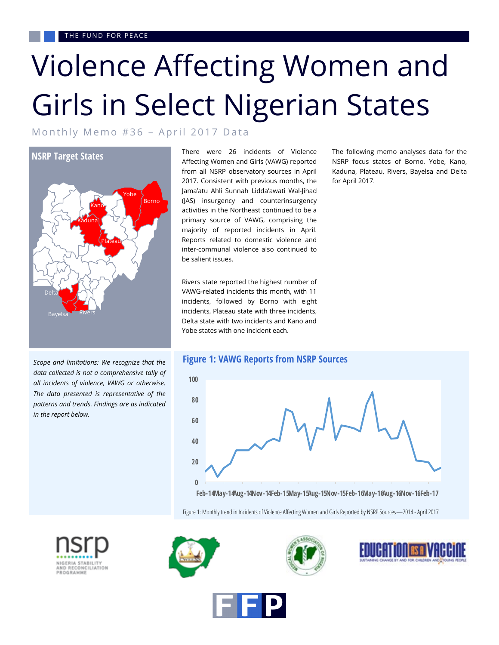# Violence Affecting Women and Girls in Select Nigerian States

Monthly Memo #36 - April 2017 Data



*Scope and limitations: We recognize that the data collected is not a comprehensive tally of all incidents of violence, VAWG or otherwise. The data presented is representative of the patterns and trends. Findings are as indicated in the report below.* 

There were 26 incidents of Violence Affecting Women and Girls (VAWG) reported from all NSRP observatory sources in April 2017. Consistent with previous months, the Jama'atu Ahli Sunnah Lidda'awati Wal-Jihad (JAS) insurgency and counterinsurgency activities in the Northeast continued to be a primary source of VAWG, comprising the majority of reported incidents in April. Reports related to domestic violence and inter-communal violence also continued to be salient issues.

Rivers state reported the highest number of VAWG-related incidents this month, with 11 incidents, followed by Borno with eight incidents, Plateau state with three incidents, Delta state with two incidents and Kano and Yobe states with one incident each.

The following memo analyses data for the NSRP focus states of Borno, Yobe, Kano, Kaduna, Plateau, Rivers, Bayelsa and Delta for April 2017.



Figure 1: Monthly trend in Incidents of Violence Affecting Women and Girls Reported by NSRP Sources—2014 - April 2017









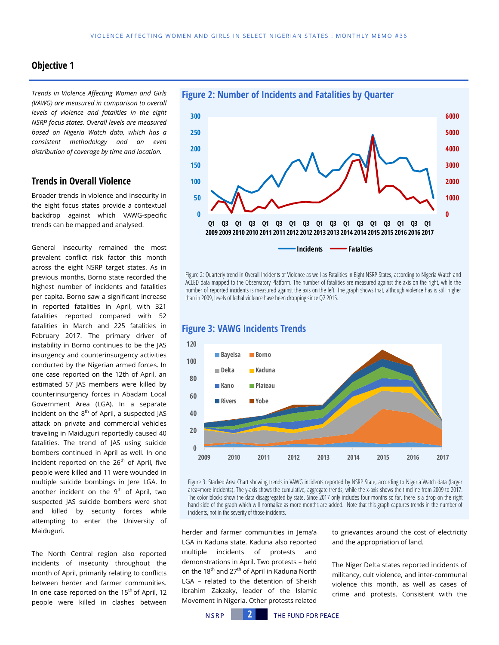#### **Objective 1**

*Trends in Violence Affecting Women and Girls (VAWG) are measured in comparison to overall levels of violence and fatalities in the eight NSRP focus states. Overall levels are measured based on Nigeria Watch data, which has a consistent methodology and an even distribution of coverage by time and location.* 

#### **Trends in Overall Violence**

Broader trends in violence and insecurity in the eight focus states provide a contextual backdrop against which VAWG-specific trends can be mapped and analysed.

General insecurity remained the most prevalent conflict risk factor this month across the eight NSRP target states. As in previous months, Borno state recorded the highest number of incidents and fatalities per capita. Borno saw a significant increase in reported fatalities in April, with 321 fatalities reported compared with 52 fatalities in March and 225 fatalities in February 2017. The primary driver of instability in Borno continues to be the JAS insurgency and counterinsurgency activities conducted by the Nigerian armed forces. In one case reported on the 12th of April, an estimated 57 JAS members were killed by counterinsurgency forces in Abadam Local Government Area (LGA). In a separate incident on the  $8<sup>th</sup>$  of April, a suspected JAS attack on private and commercial vehicles traveling in Maiduguri reportedly caused 40 fatalities. The trend of JAS using suicide bombers continued in April as well. In one incident reported on the 26<sup>th</sup> of April, five people were killed and 11 were wounded in multiple suicide bombings in Jere LGA. In another incident on the  $9<sup>th</sup>$  of April, two suspected JAS suicide bombers were shot and killed by security forces while attempting to enter the University of Maiduguri.

The North Central region also reported incidents of insecurity throughout the month of April, primarily relating to conflicts between herder and farmer communities. In one case reported on the  $15<sup>th</sup>$  of April, 12 people were killed in clashes between



Figure 2: Quarterly trend in Overall Incidents of Violence as well as Fatalities in Eight NSRP States, according to Nigeria Watch and ACLED data mapped to the Observatory Platform. The number of fatalities are measured against the axis on the right, while the number of reported incidents is measured against the axis on the left. The graph shows that, although violence has is still higher than in 2009, levels of lethal violence have been dropping since Q2 2015.



#### **Figure 3: VAWG Incidents Trends**

Figure 3: Stacked Area Chart showing trends in VAWG incidents reported by NSRP State, according to Nigeria Watch data (larger area=more incidents). The y-axis shows the cumulative, aggregate trends, while the x-axis shows the timeline from 2009 to 2017. The color blocks show the data disaggregated by state. Since 2017 only includes four months so far, there is a drop on the right hand side of the graph which will normalize as more months are added. Note that this graph captures trends in the number of incidents, not in the severity of those incidents.

herder and farmer communities in Jema'a LGA in Kaduna state. Kaduna also reported multiple incidents of protests and demonstrations in April. Two protests – held on the 18<sup>th</sup> and 27<sup>th</sup> of April in Kaduna North LGA – related to the detention of Sheikh Ibrahim Zakzaky, leader of the Islamic Movement in Nigeria. Other protests related

to grievances around the cost of electricity and the appropriation of land.

The Niger Delta states reported incidents of militancy, cult violence, and inter-communal violence this month, as well as cases of crime and protests. Consistent with the

N S R P **2** THE FUND FOR PEACE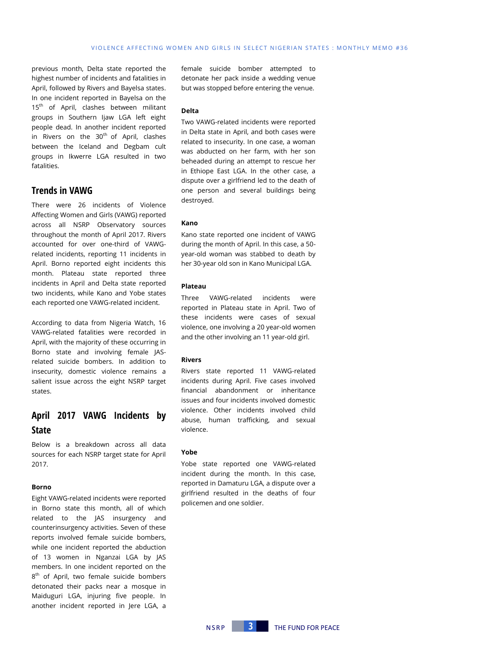previous month, Delta state reported the highest number of incidents and fatalities in April, followed by Rivers and Bayelsa states. In one incident reported in Bayelsa on the 15<sup>th</sup> of April, clashes between militant groups in Southern Ijaw LGA left eight people dead. In another incident reported in Rivers on the  $30<sup>th</sup>$  of April, clashes between the Iceland and Degbam cult groups in Ikwerre LGA resulted in two fatalities.

#### **Trends in VAWG**

There were 26 incidents of Violence Affecting Women and Girls (VAWG) reported across all NSRP Observatory sources throughout the month of April 2017. Rivers accounted for over one-third of VAWGrelated incidents, reporting 11 incidents in April. Borno reported eight incidents this month. Plateau state reported three incidents in April and Delta state reported two incidents, while Kano and Yobe states each reported one VAWG-related incident.

According to data from Nigeria Watch, 16 VAWG-related fatalities were recorded in April, with the majority of these occurring in Borno state and involving female JASrelated suicide bombers. In addition to insecurity, domestic violence remains a salient issue across the eight NSRP target states.

# **April 2017 VAWG Incidents by State**

Below is a breakdown across all data sources for each NSRP target state for April 2017.

#### **Borno**

Eight VAWG-related incidents were reported in Borno state this month, all of which related to the JAS insurgency and counterinsurgency activities. Seven of these reports involved female suicide bombers, while one incident reported the abduction of 13 women in Nganzai LGA by JAS members. In one incident reported on the 8<sup>th</sup> of April, two female suicide bombers detonated their packs near a mosque in Maiduguri LGA, injuring five people. In another incident reported in Jere LGA, a

female suicide bomber attempted to detonate her pack inside a wedding venue but was stopped before entering the venue.

#### **Delta**

Two VAWG-related incidents were reported in Delta state in April, and both cases were related to insecurity. In one case, a woman was abducted on her farm, with her son beheaded during an attempt to rescue her in Ethiope East LGA. In the other case, a dispute over a girlfriend led to the death of one person and several buildings being destroyed.

#### **Kano**

Kano state reported one incident of VAWG during the month of April. In this case, a 50 year-old woman was stabbed to death by her 30-year old son in Kano Municipal LGA.

#### **Plateau**

Three VAWG-related incidents were reported in Plateau state in April. Two of these incidents were cases of sexual violence, one involving a 20 year-old women and the other involving an 11 year-old girl.

#### **Rivers**

Rivers state reported 11 VAWG-related incidents during April. Five cases involved financial abandonment or inheritance issues and four incidents involved domestic violence. Other incidents involved child abuse, human trafficking, and sexual violence.

#### **Yobe**

Yobe state reported one VAWG-related incident during the month. In this case, reported in Damaturu LGA, a dispute over a girlfriend resulted in the deaths of four policemen and one soldier.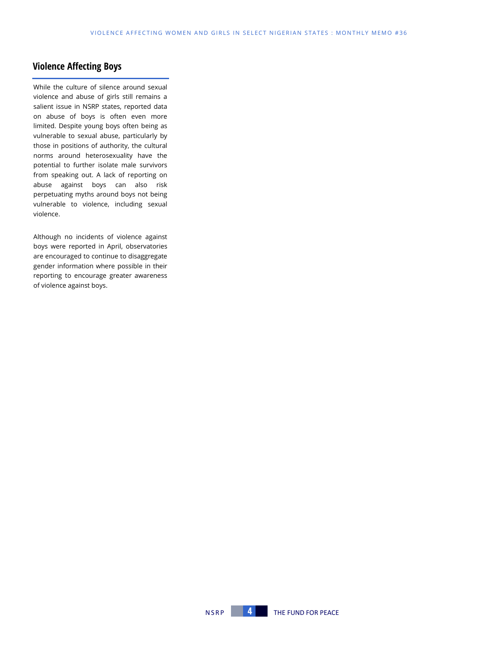# **Violence Affecting Boys**

While the culture of silence around sexual violence and abuse of girls still remains a salient issue in NSRP states, reported data on abuse of boys is often even more limited. Despite young boys often being as vulnerable to sexual abuse, particularly by those in positions of authority, the cultural norms around heterosexuality have the potential to further isolate male survivors from speaking out. A lack of reporting on abuse against boys can also risk perpetuating myths around boys not being vulnerable to violence, including sexual violence.

Although no incidents of violence against boys were reported in April, observatories are encouraged to continue to disaggregate gender information where possible in their reporting to encourage greater awareness of violence against boys.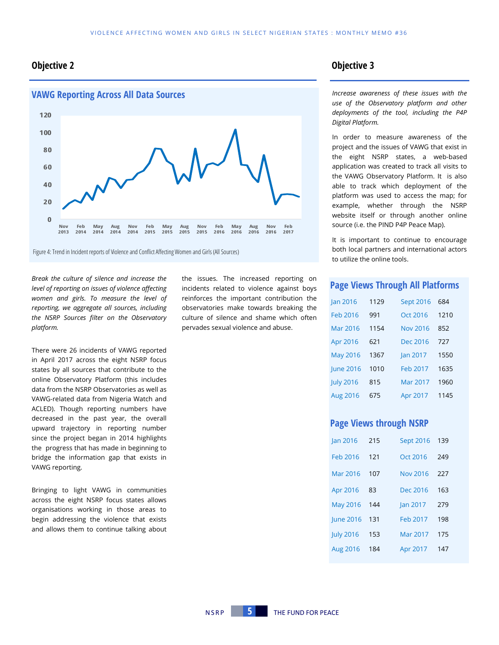## **Objective 2 Objective 3**



Figure 4: Trend in Incident reports of Violence and Conflict Affecting Women and Girls (All Sources)

*Break the culture of silence and increase the level of reporting on issues of violence affecting women and girls. To measure the level of reporting, we aggregate all sources, including the NSRP Sources filter on the Observatory platform.*

There were 26 incidents of VAWG reported in April 2017 across the eight NSRP focus states by all sources that contribute to the online Observatory Platform (this includes data from the NSRP Observatories as well as VAWG-related data from Nigeria Watch and ACLED). Though reporting numbers have decreased in the past year, the overall upward trajectory in reporting number since the project began in 2014 highlights the progress that has made in beginning to bridge the information gap that exists in VAWG reporting.

Bringing to light VAWG in communities across the eight NSRP focus states allows organisations working in those areas to begin addressing the violence that exists and allows them to continue talking about the issues. The increased reporting on incidents related to violence against boys reinforces the important contribution the observatories make towards breaking the culture of silence and shame which often pervades sexual violence and abuse.

*Increase awareness of these issues with the use of the Observatory platform and other deployments of the tool, including the P4P Digital Platform.* 

In order to measure awareness of the project and the issues of VAWG that exist in the eight NSRP states, a web-based application was created to track all visits to the VAWG Observatory Platform. It is also able to track which deployment of the platform was used to access the map; for example, whether through the NSRP website itself or through another online source (i.e. the PIND P4P Peace Map).

It is important to continue to encourage both local partners and international actors to utilize the online tools.

#### **Page Views Through All Platforms**

| <b>Jan 2016</b>  | 1129 | <b>Sept 2016</b> | 684  |
|------------------|------|------------------|------|
| Feb 2016         | 991  | Oct 2016         | 1210 |
| Mar 2016         | 1154 | <b>Nov 2016</b>  | 852  |
| Apr 2016         | 621  | Dec 2016         | 727  |
| <b>May 2016</b>  | 1367 | <b>Jan 2017</b>  | 1550 |
| <b>June 2016</b> | 1010 | Feb 2017         | 1635 |
| <b>July 2016</b> | 815  | Mar 2017         | 1960 |
| Aug 2016         | 675  | Apr 2017         | 1145 |

#### **Page Views through NSRP**

| <b>Jan 2016</b>  | 215 | <b>Sept 2016</b> | 139 |
|------------------|-----|------------------|-----|
| Feb 2016         | 121 | Oct 2016         | 249 |
| Mar 2016         | 107 | <b>Nov 2016</b>  | 227 |
| Apr 2016         | 83  | Dec 2016         | 163 |
| <b>May 2016</b>  | 144 | Jan 2017         | 279 |
| June 2016        | 131 | Feb 2017         | 198 |
| <b>July 2016</b> | 153 | Mar 2017         | 175 |
| Aug 2016         | 184 | Apr 2017         | 147 |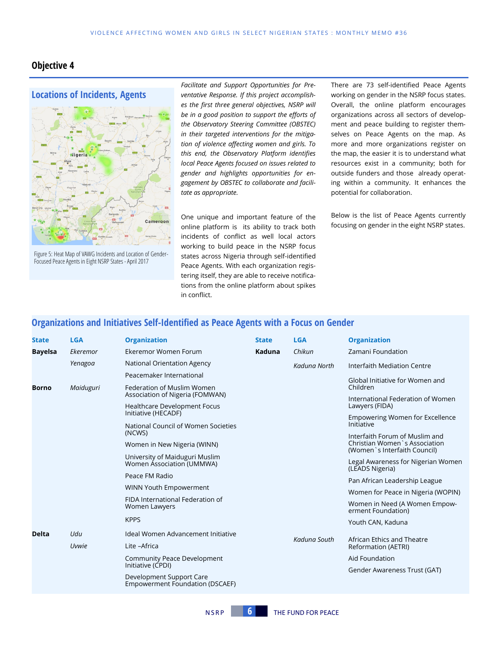### **Objective 4**



Figure 5: Heat Map of VAWG Incidents and Location of Gender-Focused Peace Agents in Eight NSRP States -April 2017

*Facilitate and Support Opportunities for Preventative Response. If this project accomplishes the first three general objectives, NSRP will be in a good position to support the efforts of the Observatory Steering Committee (OBSTEC) in their targeted interventions for the mitigation of violence affecting women and girls. To this end, the Observatory Platform identifies local Peace Agents focused on issues related to gender and highlights opportunities for engagement by OBSTEC to collaborate and facilitate as appropriate.* 

One unique and important feature of the online platform is its ability to track both incidents of conflict as well local actors working to build peace in the NSRP focus states across Nigeria through self-identified Peace Agents. With each organization registering itself, they are able to receive notifications from the online platform about spikes in conflict.

There are 73 self-identified Peace Agents working on gender in the NSRP focus states. Overall, the online platform encourages organizations across all sectors of development and peace building to register themselves on Peace Agents on the map. As more and more organizations register on the map, the easier it is to understand what resources exist in a community; both for outside funders and those already operating within a community. It enhances the potential for collaboration.

Below is the list of Peace Agents currently focusing on gender in the eight NSRP states.

# **Organizations and Initiatives Self-Identified as Peace Agents with a Focus on Gender**

| <b>State</b>   | <b>LGA</b> | <b>Organization</b>                                                | <b>State</b> | <b>LGA</b>   | <b>Organization</b>                                                                              |
|----------------|------------|--------------------------------------------------------------------|--------------|--------------|--------------------------------------------------------------------------------------------------|
| <b>Bayelsa</b> | Ekeremor   | Ekeremor Women Forum                                               | Kaduna       | Chikun       | Zamani Foundation                                                                                |
|                | Yenagoa    | National Orientation Agency                                        |              | Kaduna North | Interfaith Mediation Centre                                                                      |
|                |            | Peacemaker International                                           |              |              | Global Initiative for Women and                                                                  |
| <b>Borno</b>   | Maiduguri  | Federation of Muslim Women<br>Association of Nigeria (FOMWAN)      |              |              | Children                                                                                         |
|                |            | <b>Healthcare Development Focus</b>                                |              |              | International Federation of Women<br>Lawyers (FIDA)                                              |
|                |            | Initiative (HECADF)                                                |              |              | Empowering Women for Excellence<br>Initiative                                                    |
|                |            | National Council of Women Societies<br>(NCWS)                      |              |              |                                                                                                  |
|                |            | Women in New Nigeria (WINN)                                        |              |              | Interfaith Forum of Muslim and<br>Christian Women's Association<br>(Women `s Interfaith Council) |
|                |            | University of Maiduguri Muslim<br>Women Association (UMMWA)        |              |              | Legal Awareness for Nigerian Women<br>(LEADS Nigeria)                                            |
|                |            | Peace FM Radio                                                     |              |              | Pan African Leadership League                                                                    |
|                |            | WINN Youth Empowerment                                             |              |              | Women for Peace in Nigeria (WOPIN)                                                               |
|                |            | FIDA International Federation of<br>Women Lawyers                  |              |              | Women in Need (A Women Empow-<br>erment Foundation)                                              |
|                |            | <b>KPPS</b>                                                        |              |              | Youth CAN, Kaduna                                                                                |
| <b>Delta</b>   | Udu        | Ideal Women Advancement Initiative                                 |              |              | African Ethics and Theatre<br>Reformation (AETRI)                                                |
|                | Uvwie      | Lite -Africa                                                       |              | Kaduna South |                                                                                                  |
|                |            | <b>Community Peace Development</b>                                 |              |              | Aid Foundation                                                                                   |
|                |            | Initiative (CPDI)                                                  |              |              | Gender Awareness Trust (GAT)                                                                     |
|                |            | Development Support Care<br><b>Empowerment Foundation (DSCAEF)</b> |              |              |                                                                                                  |